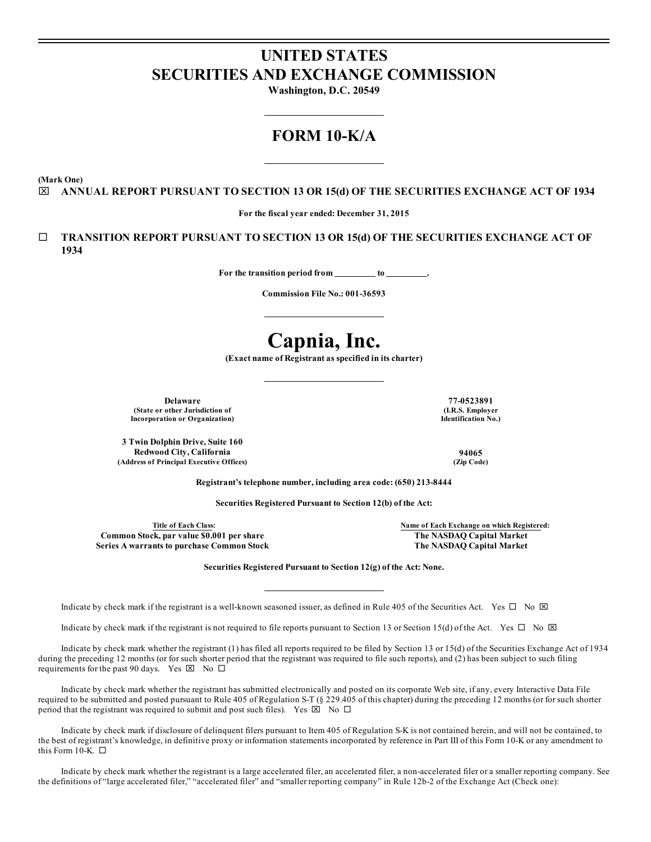# **UNITED STATES SECURITIES AND EXCHANGE COMMISSION**

**Washington, D.C. 20549**

# **FORM 10-K/A**

**(Mark One)**

x **ANNUAL REPORT PURSUANT TO SECTION 13 OR 15(d) OF THE SECURITIES EXCHANGE ACT OF 1934**

**For the fiscal year ended: December 31, 2015**

¨ **TRANSITION REPORT PURSUANT TO SECTION 13 OR 15(d) OF THE SECURITIES EXCHANGE ACT OF 1934**

**For the transition period from to .**

**Commission File No.: 001-36593**

# **Capnia, Inc.**

**(Exact name of Registrant as specified in its charter)**

**Delaware 77-0523891 (State or other Jurisdiction of Incorporation or Organization)**

**3 Twin Dolphin Drive, Suite 160 Redwood City, California 94065 (Address of Principal Executive Offices) (Zip Code)**

**(I.R.S. Employer Identification No.)**

**Registrant's telephone number, including area code: (650) 213-8444**

**Securities Registered Pursuant to Section 12(b) of the Act:**

**Common Stock, par value \$0.001 per share Series A warrants to purchase Common Stock**

**Title of Each Class: Name of Each Exchange on which Registered: The NASDAQ Capital Market The NASDAQ Capital Market**

**Securities Registered Pursuant to Section 12(g) of the Act: None.**

Indicate by check mark if the registrant is a well-known seasoned issuer, as defined in Rule 405 of the Securities Act. Yes  $\Box$  No  $\boxtimes$ 

Indicate by check mark if the registrant is not required to file reports pursuant to Section 13 or Section 15(d) of the Act. Yes  $\Box$  No  $\boxtimes$ 

Indicate by check mark whether the registrant (1) has filed all reports required to be filed by Section 13 or 15(d) of the Securities Exchange Act of 1934 during the preceding 12 months (or for such shorter period that the registrant was required to file such reports), and (2) has been subject to such filing requirements for the past 90 days. Yes  $\boxtimes$  No  $\Box$ 

Indicate by check mark whether the registrant has submitted electronically and posted on its corporate Web site, if any, every Interactive Data File required to be submitted and posted pursuant to Rule 405 of Regulation S-T (§ 229.405 of this chapter) during the preceding 12 months (or for such shorter period that the registrant was required to submit and post such files). Yes  $\boxtimes$  No  $\square$ 

Indicate by check mark if disclosure of delinquent filers pursuant to Item 405 of Regulation S-K is not contained herein, and will not be contained, to the best of registrant's knowledge, in definitive proxy or information statements incorporated by reference in Part III of this Form 10-K or any amendment to this Form 10-K.  $\Box$ 

Indicate by check mark whether the registrant is a large accelerated filer, an accelerated filer, a non-accelerated filer or a smaller reporting company. See the definitions of "large accelerated filer," "accelerated filer" and "smaller reporting company" in Rule 12b-2 of the Exchange Act (Check one):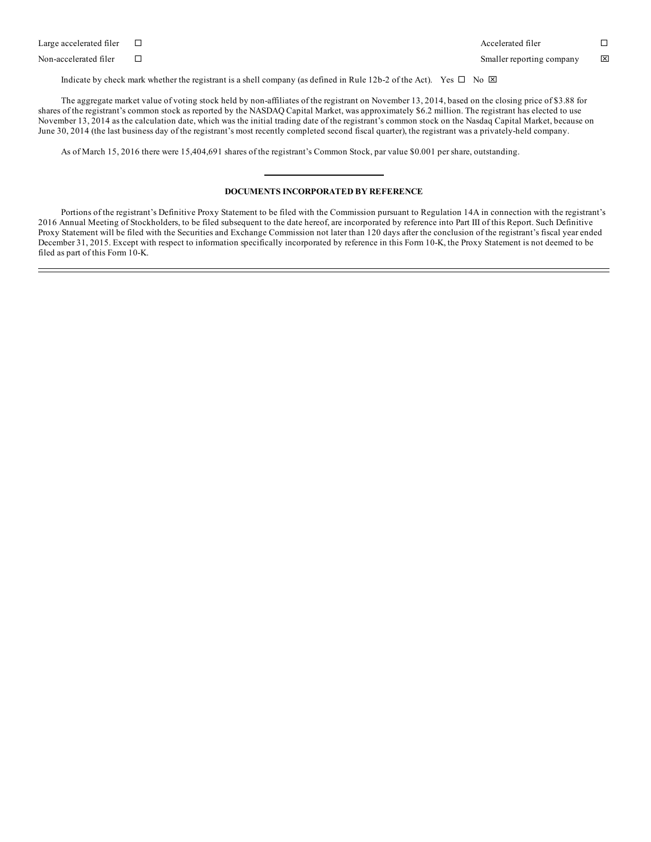Indicate by check mark whether the registrant is a shell company (as defined in Rule 12b-2 of the Act). Yes  $\Box$  No  $\boxtimes$ 

The aggregate market value of voting stock held by non-affiliates of the registrant on November 13, 2014, based on the closing price of \$3.88 for shares of the registrant's common stock as reported by the NASDAQ Capital Market, was approximately \$6.2 million. The registrant has elected to use November 13, 2014 as the calculation date, which was the initial trading date of the registrant's common stock on the Nasdaq Capital Market, because on June 30, 2014 (the last business day of the registrant's most recently completed second fiscal quarter), the registrant was a privately-held company.

As of March 15, 2016 there were 15,404,691 shares of the registrant's Common Stock, par value \$0.001 per share, outstanding.

### **DOCUMENTS INCORPORATED BY REFERENCE**

Portions of the registrant's Definitive Proxy Statement to be filed with the Commission pursuant to Regulation 14A in connection with the registrant's 2016 Annual Meeting of Stockholders, to be filed subsequent to the date hereof, are incorporated by reference into Part III of this Report. Such Definitive Proxy Statement will be filed with the Securities and Exchange Commission not later than 120 days after the conclusion of the registrant's fiscal year ended December 31, 2015. Except with respect to information specifically incorporated by reference in this Form 10-K, the Proxy Statement is not deemed to be filed as part of this Form 10-K.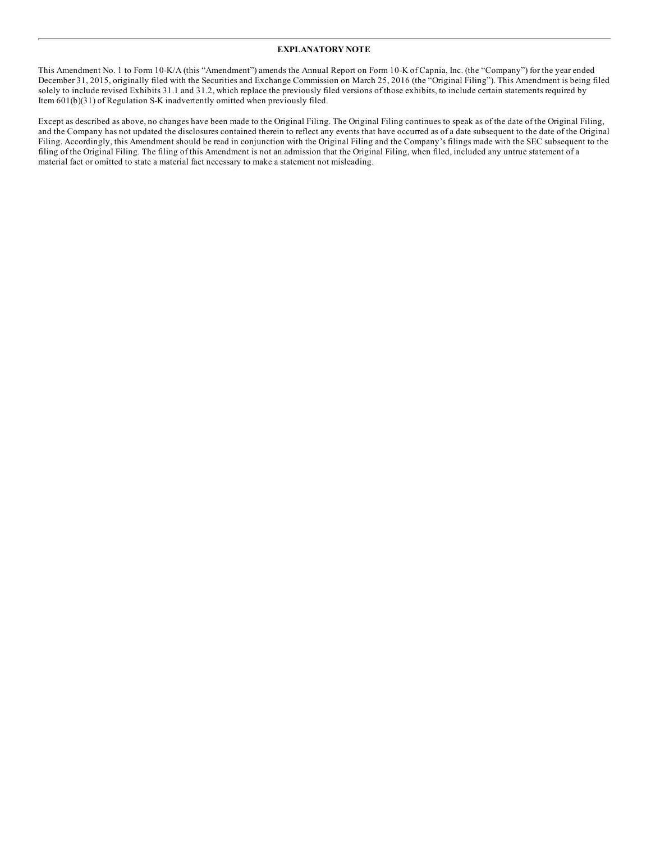#### **EXPLANATORY NOTE**

This Amendment No. 1 to Form 10-K/A (this "Amendment") amends the Annual Report on Form 10-K of Capnia, Inc. (the "Company") for the year ended December 31, 2015, originally filed with the Securities and Exchange Commission on March 25, 2016 (the "Original Filing"). This Amendment is being filed solely to include revised Exhibits 31.1 and 31.2, which replace the previously filed versions of those exhibits, to include certain statements required by Item 601(b)(31) of Regulation S-K inadvertently omitted when previously filed.

Except as described as above, no changes have been made to the Original Filing. The Original Filing continues to speak as of the date of the Original Filing, and the Company has not updated the disclosures contained therein to reflect any events that have occurred as of a date subsequent to the date of the Original Filing. Accordingly, this Amendment should be read in conjunction with the Original Filing and the Company's filings made with the SEC subsequent to the filing of the Original Filing. The filing of this Amendment is not an admission that the Original Filing, when filed, included any untrue statement of a material fact or omitted to state a material fact necessary to make a statement not misleading.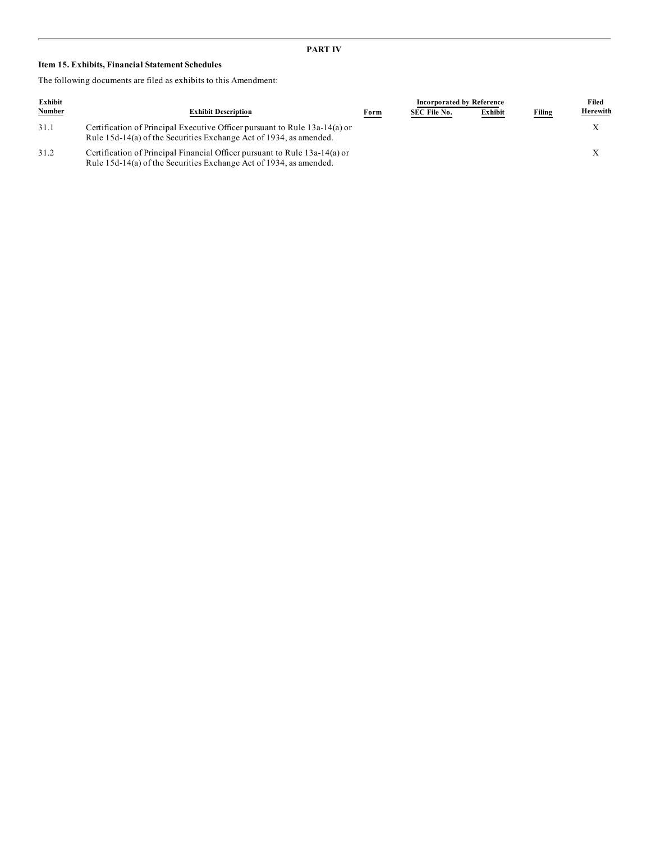# **PART IV**

# **Item 15. Exhibits, Financial Statement Schedules**

The following documents are filed as exhibits to this Amendment:

| Exhibit<br><b>Number</b> |                                                                                                                                                  |      | <b>Incorporated by Reference</b> |         |               | Filed           |
|--------------------------|--------------------------------------------------------------------------------------------------------------------------------------------------|------|----------------------------------|---------|---------------|-----------------|
|                          | <b>Exhibit Description</b>                                                                                                                       | Form | SEC File No.                     | Exhibit | <b>Filing</b> | <b>Herewith</b> |
| 31.1                     | Certification of Principal Executive Officer pursuant to Rule 13a-14(a) or<br>Rule 15d-14(a) of the Securities Exchange Act of 1934, as amended. |      |                                  |         |               |                 |
| 31.2                     | Certification of Principal Financial Officer pursuant to Rule 13a-14(a) or<br>Rule 15d-14(a) of the Securities Exchange Act of 1934, as amended. |      |                                  |         |               |                 |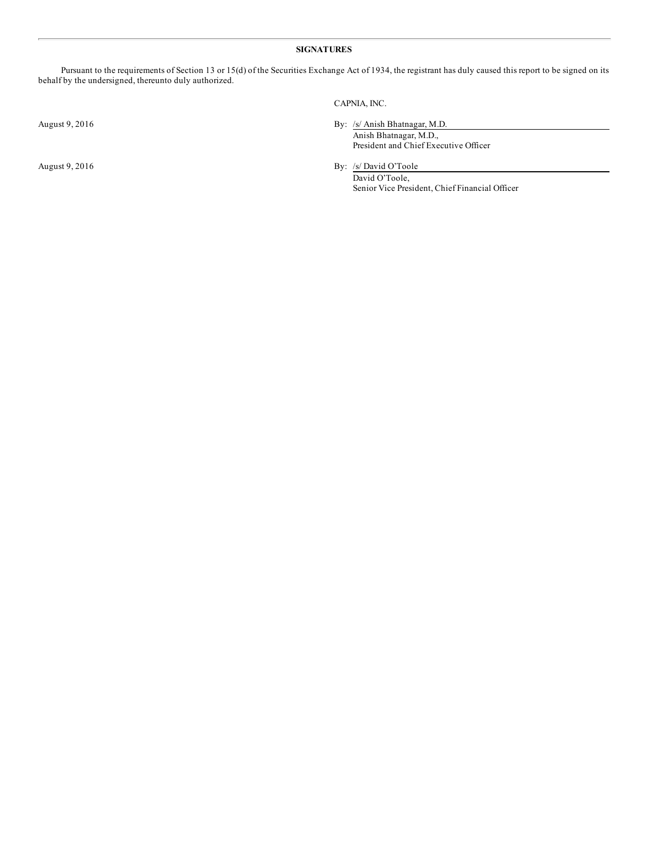## **SIGNATURES**

Pursuant to the requirements of Section 13 or 15(d) of the Securities Exchange Act of 1934, the registrant has duly caused this report to be signed on its behalf by the undersigned, thereunto duly authorized.

CAPNIA, INC.

August 9, 2016 By: /s/ Anish Bhatnagar, M.D.

Anish Bhatnagar, M.D., President and Chief Executive Officer

August 9, 2016 By: /s/ David O'Toole

David O'Toole, Senior Vice President, Chief Financial Officer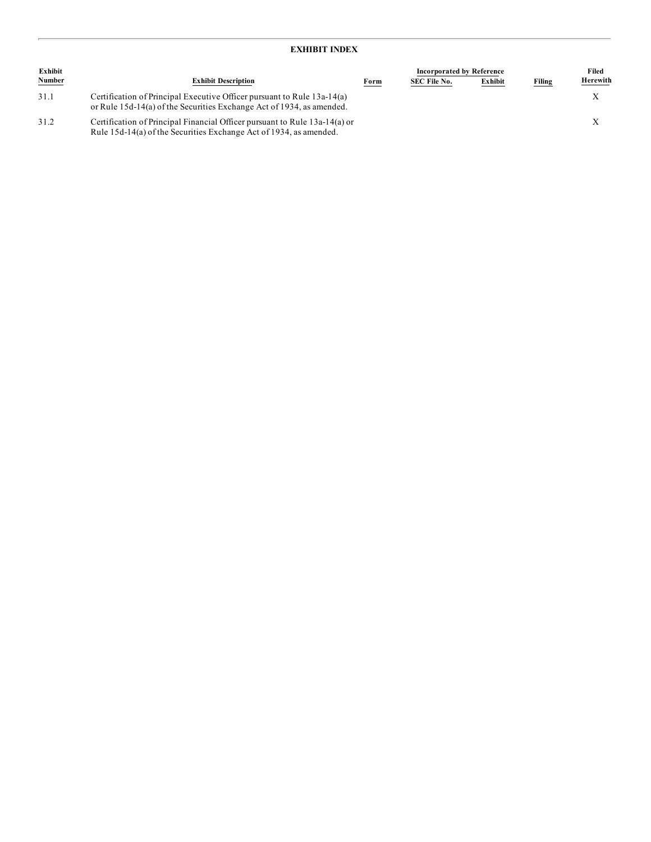# **EXHIBIT INDEX**

| Exhibit<br><b>Number</b> | <b>Exhibit Description</b>                                                                                                                       | Form | <b>Incorporated by Reference</b><br><b>SEC File No.</b> | Exhibit | <b>Filing</b> | Filed<br><b>Herewith</b> |
|--------------------------|--------------------------------------------------------------------------------------------------------------------------------------------------|------|---------------------------------------------------------|---------|---------------|--------------------------|
| 31.1                     | Certification of Principal Executive Officer pursuant to Rule 13a-14(a)<br>or Rule 15d-14(a) of the Securities Exchange Act of 1934, as amended. |      |                                                         |         |               |                          |
| 31.2                     | Certification of Principal Financial Officer pursuant to Rule 13a-14(a) or<br>Rule 15d-14(a) of the Securities Exchange Act of 1934, as amended. |      |                                                         |         |               |                          |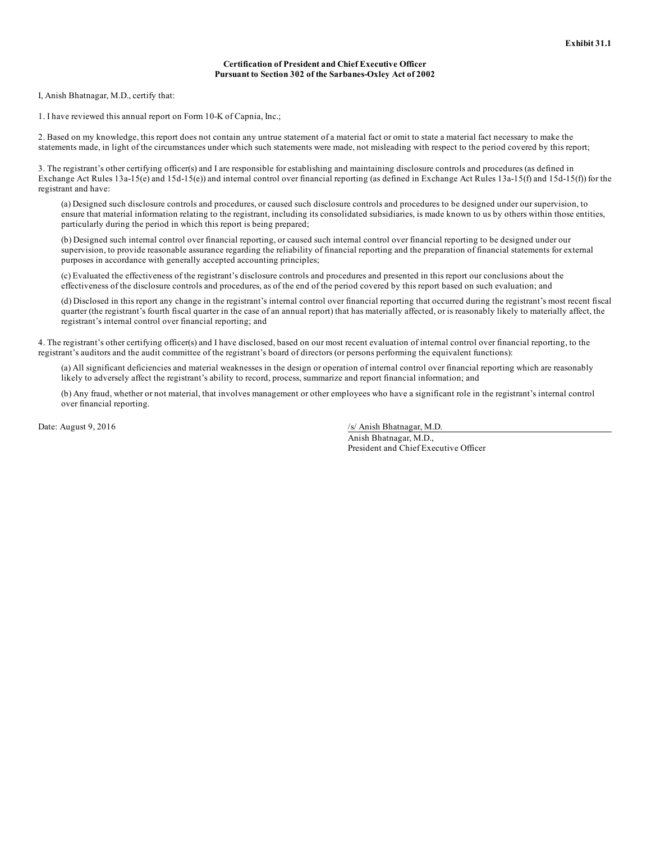#### **Certification of President and Chief Executive Officer Pursuant to Section 302 of the Sarbanes-Oxley Act of 2002**

I, Anish Bhatnagar, M.D., certify that:

1. I have reviewed this annual report on Form 10-K of Capnia, Inc.;

2. Based on my knowledge, this report does not contain any untrue statement of a material fact or omit to state a material fact necessary to make the statements made, in light of the circumstances under which such statements were made, not misleading with respect to the period covered by this report;

3. The registrant's other certifying officer(s) and I are responsible for establishing and maintaining disclosure controls and procedures (as defined in Exchange Act Rules 13a-15(e) and 15d-15(e)) and internal control over financial reporting (as defined in Exchange Act Rules 13a-15(f) and 15d-15(f)) for the registrant and have:

(a) Designed such disclosure controls and procedures, or caused such disclosure controls and procedures to be designed under our supervision, to ensure that material information relating to the registrant, including its consolidated subsidiaries, is made known to us by others within those entities, particularly during the period in which this report is being prepared;

(b) Designed such internal control over financial reporting, or caused such internal control over financial reporting to be designed under our supervision, to provide reasonable assurance regarding the reliability of financial reporting and the preparation of financial statements for external purposes in accordance with generally accepted accounting principles;

(c) Evaluated the effectiveness of the registrant's disclosure controls and procedures and presented in this report our conclusions about the effectiveness of the disclosure controls and procedures, as of the end of the period covered by this report based on such evaluation; and

(d) Disclosed in this report any change in the registrant's internal control over financial reporting that occurred during the registrant's most recent fiscal quarter (the registrant's fourth fiscal quarter in the case of an annual report) that has materially affected, or is reasonably likely to materially affect, the registrant's internal control over financial reporting; and

4. The registrant's other certifying officer(s) and I have disclosed, based on our most recent evaluation of internal control over financial reporting, to the registrant's auditors and the audit committee of the registrant's board of directors (or persons performing the equivalent functions):

(a) All significant deficiencies and material weaknesses in the design or operation of internal control over financial reporting which are reasonably likely to adversely affect the registrant's ability to record, process, summarize and report financial information; and

(b) Any fraud, whether or not material, that involves management or other employees who have a significant role in the registrant's internal control over financial reporting.

Date: August 9, 2016 /s/ Anish Bhatnagar, M.D.

Anish Bhatnagar, M.D., President and Chief Executive Officer